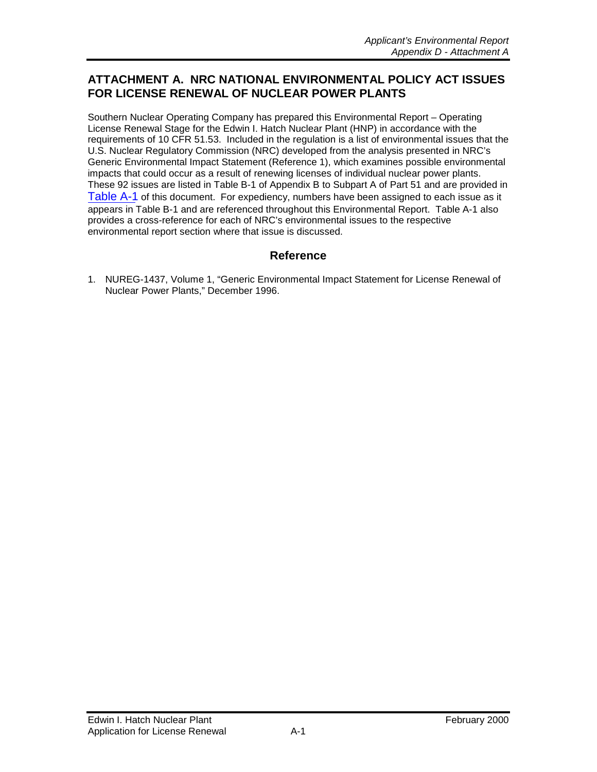# **ATTACHMENT A. NRC NATIONAL ENVIRONMENTAL POLICY ACT ISSUES FOR LICENSE RENEWAL OF NUCLEAR POWER PLANTS**

Southern Nuclear Operating Company has prepared this Environmental Report – Operating License Renewal Stage for the Edwin I. Hatch Nuclear Plant (HNP) in accordance with the requirements of 10 CFR 51.53. Included in the regulation is a list of environmental issues that the U.S. Nuclear Regulatory Commission (NRC) developed from the analysis presented in NRC's Generic Environmental Impact Statement (Reference 1), which examines possible environmental impacts that could occur as a result of renewing licenses of individual nuclear power plants. These 92 issues are listed in Table B-1 of Appendix B to Subpart A of Part 51 and are provided in Table A-1 of this document. For expediency, numbers have been assigned to each issue as it appears in Table B-1 and are referenced throughout this Environmental Report. Table A-1 also provides a cross-reference for each of NRC's environmental issues to the respective environmental report section where that issue is discussed.

# **Reference**

1. NUREG-1437, Volume 1, "Generic Environmental Impact Statement for License Renewal of Nuclear Power Plants," December 1996.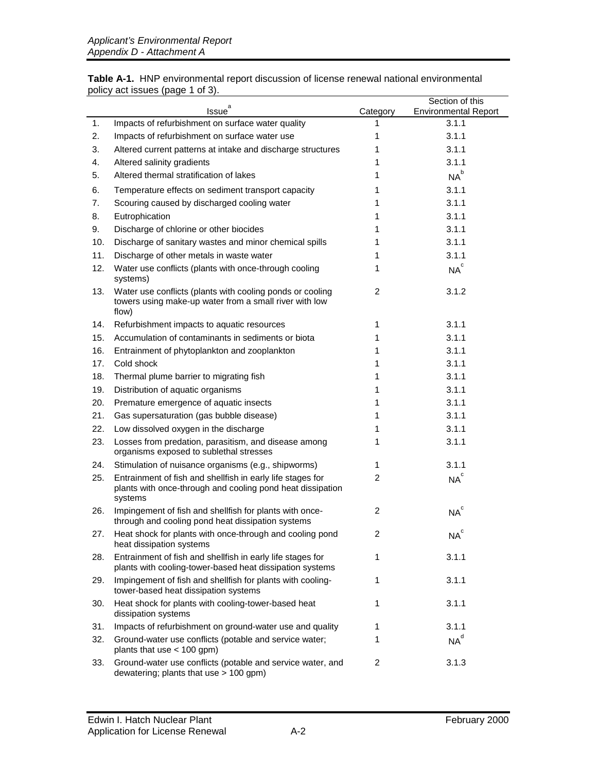|     | pulluy aut issues (paye + ul u).                                                                                                    |                | Section of this                         |
|-----|-------------------------------------------------------------------------------------------------------------------------------------|----------------|-----------------------------------------|
|     | Issue <sup>a</sup>                                                                                                                  | Category       | <b>Environmental Report</b>             |
| 1.  | Impacts of refurbishment on surface water quality                                                                                   | 1              | 3.1.1                                   |
| 2.  | Impacts of refurbishment on surface water use                                                                                       | 1              | 3.1.1                                   |
| 3.  | Altered current patterns at intake and discharge structures                                                                         | 1              | 3.1.1                                   |
| 4.  | Altered salinity gradients                                                                                                          | 1              | 3.1.1                                   |
| 5.  | Altered thermal stratification of lakes                                                                                             | 1              | $NA^b$                                  |
| 6.  | Temperature effects on sediment transport capacity                                                                                  | 1              | 3.1.1                                   |
| 7.  | Scouring caused by discharged cooling water                                                                                         | 1              | 3.1.1                                   |
| 8.  | Eutrophication                                                                                                                      | 1              | 3.1.1                                   |
| 9.  | Discharge of chlorine or other biocides                                                                                             | 1              | 3.1.1                                   |
| 10. | Discharge of sanitary wastes and minor chemical spills                                                                              | 1              | 3.1.1                                   |
| 11. | Discharge of other metals in waste water                                                                                            | 1              | 3.1.1                                   |
| 12. | Water use conflicts (plants with once-through cooling<br>systems)                                                                   | 1              | NA <sup>c</sup>                         |
| 13. | Water use conflicts (plants with cooling ponds or cooling<br>towers using make-up water from a small river with low<br>flow)        | 2              | 3.1.2                                   |
| 14. | Refurbishment impacts to aquatic resources                                                                                          | 1              | 3.1.1                                   |
| 15. | Accumulation of contaminants in sediments or biota                                                                                  | 1              | 3.1.1                                   |
| 16. | Entrainment of phytoplankton and zooplankton                                                                                        | 1              | 3.1.1                                   |
| 17. | Cold shock                                                                                                                          | 1              | 3.1.1                                   |
| 18. | Thermal plume barrier to migrating fish                                                                                             | 1              | 3.1.1                                   |
| 19. | Distribution of aquatic organisms                                                                                                   | 1              | 3.1.1                                   |
| 20. | Premature emergence of aquatic insects                                                                                              | 1              | 3.1.1                                   |
| 21. | Gas supersaturation (gas bubble disease)                                                                                            | 1              | 3.1.1                                   |
| 22. | Low dissolved oxygen in the discharge                                                                                               | 1              | 3.1.1                                   |
| 23. | Losses from predation, parasitism, and disease among<br>organisms exposed to sublethal stresses                                     | 1              | 3.1.1                                   |
| 24. | Stimulation of nuisance organisms (e.g., shipworms)                                                                                 | 1              | 3.1.1                                   |
| 25. | Entrainment of fish and shellfish in early life stages for<br>plants with once-through and cooling pond heat dissipation<br>systems | $\overline{2}$ | NA <sup>c</sup>                         |
| 26. | Impingement of fish and shellfish for plants with once-<br>through and cooling pond heat dissipation systems                        | $\overline{2}$ | $\ensuremath{\mathsf{NA}}^{\mathsf{c}}$ |
| 27. | Heat shock for plants with once-through and cooling pond<br>heat dissipation systems                                                | 2              | $NA^{\circ}$                            |
| 28. | Entrainment of fish and shellfish in early life stages for<br>plants with cooling-tower-based heat dissipation systems              | 1              | 3.1.1                                   |
| 29. | Impingement of fish and shellfish for plants with cooling-<br>tower-based heat dissipation systems                                  | 1              | 3.1.1                                   |
| 30. | Heat shock for plants with cooling-tower-based heat<br>dissipation systems                                                          | 1              | 3.1.1                                   |
| 31. | Impacts of refurbishment on ground-water use and quality                                                                            | 1              | 3.1.1                                   |
| 32. | Ground-water use conflicts (potable and service water;<br>plants that use < 100 gpm)                                                | 1              | NA <sup>d</sup>                         |
| 33. | Ground-water use conflicts (potable and service water, and<br>dewatering; plants that use $> 100$ gpm)                              | $\overline{c}$ | 3.1.3                                   |

**Table A-1.** HNP environmental report discussion of license renewal national environmental policy act issues (page 1 of 3).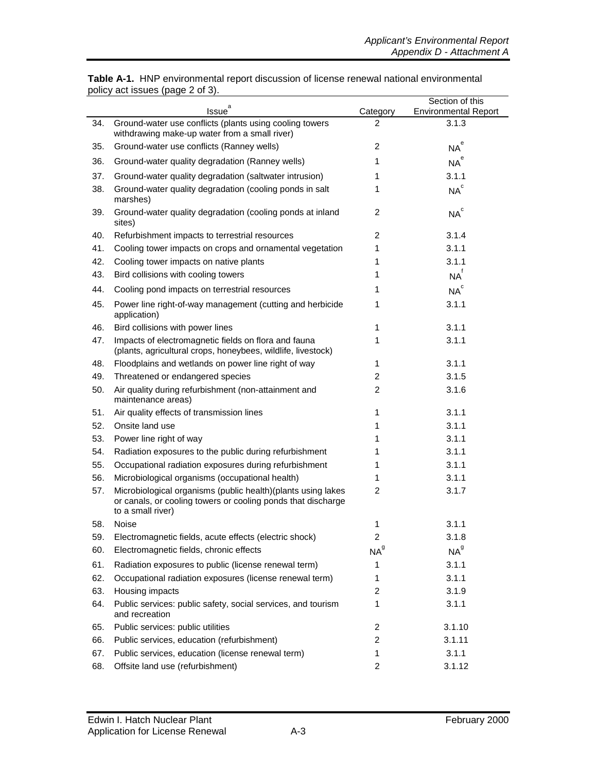|     | а                                                                                                                                                 |                 | Section of this             |
|-----|---------------------------------------------------------------------------------------------------------------------------------------------------|-----------------|-----------------------------|
|     | <b>Issue</b>                                                                                                                                      | Category        | <b>Environmental Report</b> |
| 34. | Ground-water use conflicts (plants using cooling towers<br>withdrawing make-up water from a small river)                                          | $\overline{c}$  | 3.1.3                       |
| 35. | Ground-water use conflicts (Ranney wells)                                                                                                         | 2               | NA <sup>e</sup>             |
| 36. | Ground-water quality degradation (Ranney wells)                                                                                                   | 1               | NA <sup>e</sup>             |
| 37. | Ground-water quality degradation (saltwater intrusion)                                                                                            | 1               | 3.1.1                       |
| 38. | Ground-water quality degradation (cooling ponds in salt<br>marshes)                                                                               | 1               | NA <sup>c</sup>             |
| 39. | Ground-water quality degradation (cooling ponds at inland<br>sites)                                                                               | 2               | NA <sup>c</sup>             |
| 40. | Refurbishment impacts to terrestrial resources                                                                                                    | $\overline{c}$  | 3.1.4                       |
| 41. | Cooling tower impacts on crops and ornamental vegetation                                                                                          | 1               | 3.1.1                       |
| 42. | Cooling tower impacts on native plants                                                                                                            | 1               | 3.1.1                       |
| 43. | Bird collisions with cooling towers                                                                                                               | 1               | NA <sup>f</sup>             |
| 44. | Cooling pond impacts on terrestrial resources                                                                                                     | 1               | NA <sup>c</sup>             |
| 45. | Power line right-of-way management (cutting and herbicide<br>application)                                                                         | 1               | 3.1.1                       |
| 46. | Bird collisions with power lines                                                                                                                  | 1               | 3.1.1                       |
| 47. | Impacts of electromagnetic fields on flora and fauna<br>(plants, agricultural crops, honeybees, wildlife, livestock)                              | 1               | 3.1.1                       |
| 48. | Floodplains and wetlands on power line right of way                                                                                               | 1               | 3.1.1                       |
| 49. | Threatened or endangered species                                                                                                                  | 2               | 3.1.5                       |
| 50. | Air quality during refurbishment (non-attainment and<br>maintenance areas)                                                                        | $\overline{2}$  | 3.1.6                       |
| 51. | Air quality effects of transmission lines                                                                                                         | 1               | 3.1.1                       |
| 52. | Onsite land use                                                                                                                                   | 1               | 3.1.1                       |
| 53. | Power line right of way                                                                                                                           | 1               | 3.1.1                       |
| 54. | Radiation exposures to the public during refurbishment                                                                                            | 1               | 3.1.1                       |
| 55. | Occupational radiation exposures during refurbishment                                                                                             | 1               | 3.1.1                       |
| 56. | Microbiological organisms (occupational health)                                                                                                   | 1               | 3.1.1                       |
| 57. | Microbiological organisms (public health)(plants using lakes<br>or canals, or cooling towers or cooling ponds that discharge<br>to a small river) | $\overline{2}$  | 3.1.7                       |
| 58. | Noise                                                                                                                                             | 1               | 3.1.1                       |
| 59. | Electromagnetic fields, acute effects (electric shock)                                                                                            | 2               | 3.1.8                       |
| 60. | Electromagnetic fields, chronic effects                                                                                                           | NA <sup>g</sup> | NA <sup>9</sup>             |
| 61. | Radiation exposures to public (license renewal term)                                                                                              | 1               | 3.1.1                       |
| 62. | Occupational radiation exposures (license renewal term)                                                                                           | 1               | 3.1.1                       |
| 63. | Housing impacts                                                                                                                                   | 2               | 3.1.9                       |
| 64. | Public services: public safety, social services, and tourism<br>and recreation                                                                    | 1               | 3.1.1                       |
| 65. | Public services: public utilities                                                                                                                 | 2               | 3.1.10                      |
| 66. | Public services, education (refurbishment)                                                                                                        | 2               | 3.1.11                      |
| 67. | Public services, education (license renewal term)                                                                                                 | 1               | 3.1.1                       |
| 68. | Offsite land use (refurbishment)                                                                                                                  | $\overline{c}$  | 3.1.12                      |

**Table A-1.** HNP environmental report discussion of license renewal national environmental policy act issues (page 2 of 3).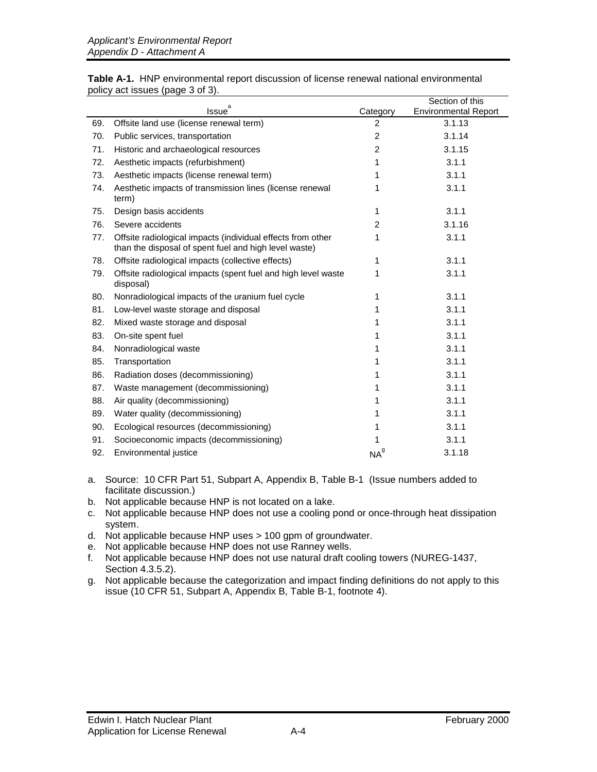|     | policy act issues (page 5 or 3).                                                                                     |                |                                                |
|-----|----------------------------------------------------------------------------------------------------------------------|----------------|------------------------------------------------|
|     | a<br><b>Issue</b>                                                                                                    | Category       | Section of this<br><b>Environmental Report</b> |
| 69. | Offsite land use (license renewal term)                                                                              | $\overline{2}$ | 3.1.13                                         |
| 70. | Public services, transportation                                                                                      | $\overline{2}$ | 3.1.14                                         |
| 71. | Historic and archaeological resources                                                                                | $\overline{c}$ | 3.1.15                                         |
| 72. | Aesthetic impacts (refurbishment)                                                                                    | 1              | 3.1.1                                          |
| 73. | Aesthetic impacts (license renewal term)                                                                             | 1              | 3.1.1                                          |
| 74. | Aesthetic impacts of transmission lines (license renewal<br>term)                                                    | 1              | 3.1.1                                          |
| 75. | Design basis accidents                                                                                               | 1              | 3.1.1                                          |
| 76. | Severe accidents                                                                                                     | $\overline{2}$ | 3.1.16                                         |
| 77. | Offsite radiological impacts (individual effects from other<br>than the disposal of spent fuel and high level waste) | 1              | 3.1.1                                          |
| 78. | Offsite radiological impacts (collective effects)                                                                    | 1              | 3.1.1                                          |
| 79. | Offsite radiological impacts (spent fuel and high level waste<br>disposal)                                           | 1              | 3.1.1                                          |
| 80. | Nonradiological impacts of the uranium fuel cycle                                                                    | 1              | 3.1.1                                          |
| 81. | Low-level waste storage and disposal                                                                                 | 1              | 3.1.1                                          |
| 82. | Mixed waste storage and disposal                                                                                     | 1              | 3.1.1                                          |
| 83. | On-site spent fuel                                                                                                   | 1              | 3.1.1                                          |
| 84. | Nonradiological waste                                                                                                | 1              | 3.1.1                                          |
| 85. | Transportation                                                                                                       | 1              | 3.1.1                                          |
| 86. | Radiation doses (decommissioning)                                                                                    | 1              | 3.1.1                                          |
| 87. | Waste management (decommissioning)                                                                                   | 1              | 3.1.1                                          |
| 88. | Air quality (decommissioning)                                                                                        | 1              | 3.1.1                                          |
| 89. | Water quality (decommissioning)                                                                                      | 1              | 3.1.1                                          |
| 90. | Ecological resources (decommissioning)                                                                               | 1              | 3.1.1                                          |
| 91. | Socioeconomic impacts (decommissioning)                                                                              | 1              | 3.1.1                                          |
| 92. | Environmental justice                                                                                                | $NA^9$         | 3.1.18                                         |

|  | <b>Table A-1.</b> HNP environmental report discussion of license renewal national environmental |  |  |  |  |
|--|-------------------------------------------------------------------------------------------------|--|--|--|--|
|  | policy act issues (page 3 of 3).                                                                |  |  |  |  |

- a. Source: 10 CFR Part 51, Subpart A, Appendix B, Table B-1 (Issue numbers added to facilitate discussion.)
- b. Not applicable because HNP is not located on a lake.
- c. Not applicable because HNP does not use a cooling pond or once-through heat dissipation system.
- d. Not applicable because HNP uses > 100 gpm of groundwater.
- e. Not applicable because HNP does not use Ranney wells.
- f. Not applicable because HNP does not use natural draft cooling towers (NUREG-1437, Section 4.3.5.2).
- g. Not applicable because the categorization and impact finding definitions do not apply to this issue (10 CFR 51, Subpart A, Appendix B, Table B-1, footnote 4).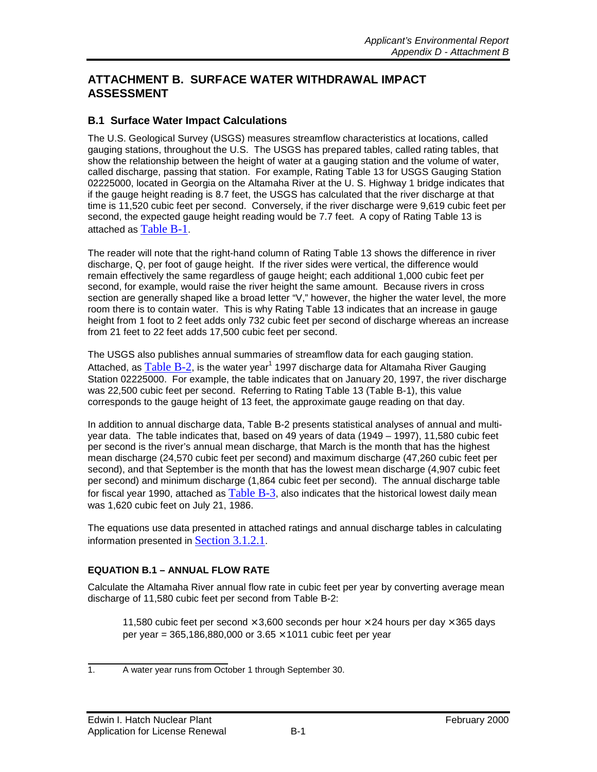# **ATTACHMENT B. SURFACE WATER WITHDRAWAL IMPACT ASSESSMENT**

## **B.1 Surface Water Impact Calculations**

The U.S. Geological Survey (USGS) measures streamflow characteristics at locations, called gauging stations, throughout the U.S. The USGS has prepared tables, called rating tables, that show the relationship between the height of water at a gauging station and the volume of water, called discharge, passing that station. For example, Rating Table 13 for USGS Gauging Station 02225000, located in Georgia on the Altamaha River at the U. S. Highway 1 bridge indicates that if the gauge height reading is 8.7 feet, the USGS has calculated that the river discharge at that time is 11,520 cubic feet per second. Conversely, if the river discharge were 9,619 cubic feet per second, the expected gauge height reading would be 7.7 feet. A copy of Rating Table 13 is attached as Table B-1.

The reader will note that the right-hand column of Rating Table 13 shows the difference in river discharge, Q, per foot of gauge height. If the river sides were vertical, the difference would remain effectively the same regardless of gauge height; each additional 1,000 cubic feet per second, for example, would raise the river height the same amount. Because rivers in cross section are generally shaped like a broad letter "V," however, the higher the water level, the more room there is to contain water. This is why Rating Table 13 indicates that an increase in gauge height from 1 foot to 2 feet adds only 732 cubic feet per second of discharge whereas an increase from 21 feet to 22 feet adds 17,500 cubic feet per second.

The USGS also publishes annual summaries of streamflow data for each gauging station. Attached, as <u>Table B-2</u>, is the water year<sup>1</sup> 1997 discharge data for Altamaha River Gauging Station 02225000. For example, the table indicates that on January 20, 1997, the river discharge was 22,500 cubic feet per second. Referring to Rating Table 13 (Table B-1), this value corresponds to the gauge height of 13 feet, the approximate gauge reading on that day.

In addition to annual discharge data, Table B-2 presents statistical analyses of annual and multiyear data. The table indicates that, based on 49 years of data (1949 – 1997), 11,580 cubic feet per second is the river's annual mean discharge, that March is the month that has the highest mean discharge (24,570 cubic feet per second) and maximum discharge (47,260 cubic feet per second), and that September is the month that has the lowest mean discharge (4,907 cubic feet per second) and minimum discharge (1,864 cubic feet per second). The annual discharge table for fiscal year 1990, attached as  $Table B-3$ , also indicates that the historical lowest daily mean was 1,620 cubic feet on July 21, 1986.

The equations use data presented in attached ratings and annual discharge tables in calculating information presented in Section 3.1.2.1.

### **EQUATION B.1 – ANNUAL FLOW RATE**

Calculate the Altamaha River annual flow rate in cubic feet per year by converting average mean discharge of 11,580 cubic feet per second from Table B-2:

11,580 cubic feet per second  $\times$  3,600 seconds per hour  $\times$  24 hours per day  $\times$  365 days per year = 365,186,880,000 or  $3.65 \times 1011$  cubic feet per year

 $\overline{a}$ 1. A water year runs from October 1 through September 30.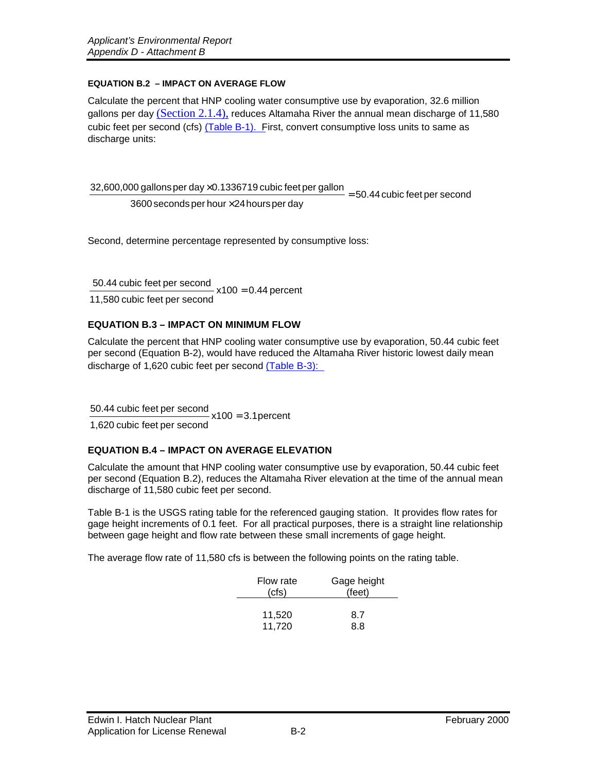#### **EQUATION B.2 – IMPACT ON AVERAGE FLOW**

Calculate the percent that HNP cooling water consumptive use by evaporation, 32.6 million gallons per day (Section 2.1.4), reduces Altamaha River the annual mean discharge of 11,580 cubic feet per second (cfs) (Table B-1). First, convert consumptive loss units to same as discharge units:

 $=$  50.44 cubic feet per second 32,600,000 gallons per day $\times$ 0.1336719 cubic feet per gallon  $=$  3600 seconds per hour $\times$ 24 hours per day

3600 seconds per hour  $\times$  24 hours per day

Second, determine percentage represented by consumptive loss:

 $50.44$  cubic feet per second<br> $x100 = 0.44$  percent 11,580 cubic feet per second

#### **EQUATION B.3 – IMPACT ON MINIMUM FLOW**

Calculate the percent that HNP cooling water consumptive use by evaporation, 50.44 cubic feet per second (Equation B-2), would have reduced the Altamaha River historic lowest daily mean discharge of 1,620 cubic feet per second (Table B-3):

 $x100 = 3.1$  percent 1,620 cubic feet per second  $\frac{50.44 \text{ cubic feet per second}}{100}$  x100 =

### **EQUATION B.4 – IMPACT ON AVERAGE ELEVATION**

Calculate the amount that HNP cooling water consumptive use by evaporation, 50.44 cubic feet per second (Equation B.2), reduces the Altamaha River elevation at the time of the annual mean discharge of 11,580 cubic feet per second.

Table B-1 is the USGS rating table for the referenced gauging station. It provides flow rates for gage height increments of 0.1 feet. For all practical purposes, there is a straight line relationship between gage height and flow rate between these small increments of gage height.

The average flow rate of 11,580 cfs is between the following points on the rating table.

| Flow rate | Gage height |
|-----------|-------------|
| (cfs)     | (feet)      |
| 11,520    | 8.7         |
| 11,720    | 8.8         |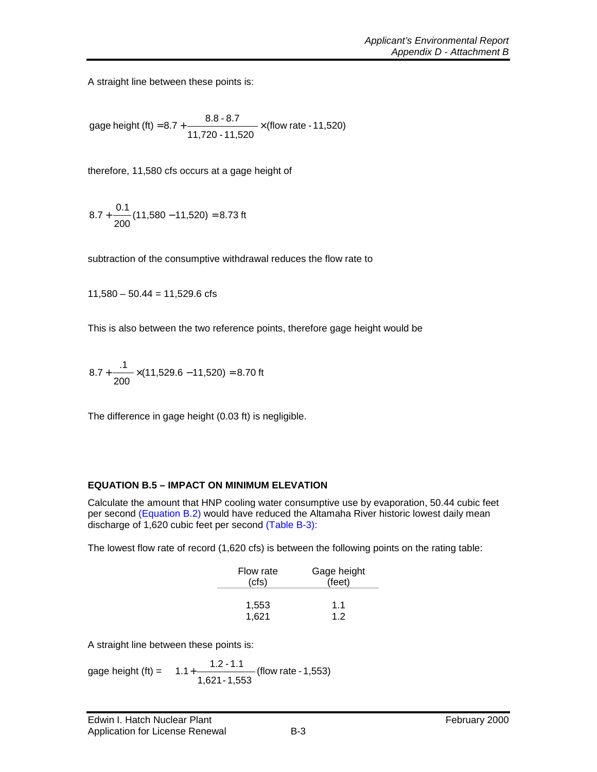A straight line between these points is:

(flow rate - 11,520) 11,520 - 11,720 gage height (ft) = 8.7 +  $\frac{8.8$  - 8.7  $\quad \times$ 

therefore, 11,580 cfs occurs at a gage height of

$$
8.7 + \frac{0.1}{200}(11,580 - 11,520) = 8.73
$$
 ft

subtraction of the consumptive withdrawal reduces the flow rate to

 $11,580 - 50.44 = 11,529.6$  cfs

This is also between the two reference points, therefore gage height would be

$$
8.7 + \frac{.1}{200} \times (11,529.6 - 11,520) = 8.70 \text{ ft}
$$

The difference in gage height (0.03 ft) is negligible.

### **EQUATION B.5 – IMPACT ON MINIMUM ELEVATION**

Calculate the amount that HNP cooling water consumptive use by evaporation, 50.44 cubic feet per second (Equation B.2) would have reduced the Altamaha River historic lowest daily mean discharge of 1,620 cubic feet per second (Table B-3):

The lowest flow rate of record (1,620 cfs) is between the following points on the rating table:

| Flow rate | Gage height |
|-----------|-------------|
| (cfs)     | (feet)      |
|           |             |
| 1,553     | 1.1         |
| 1.621     | 12          |

A straight line between these points is:

gage height (ft) = 
$$
1.1 + \frac{1.2 - 1.1}{1.621 - 1.553}
$$
 (flow rate - 1.553)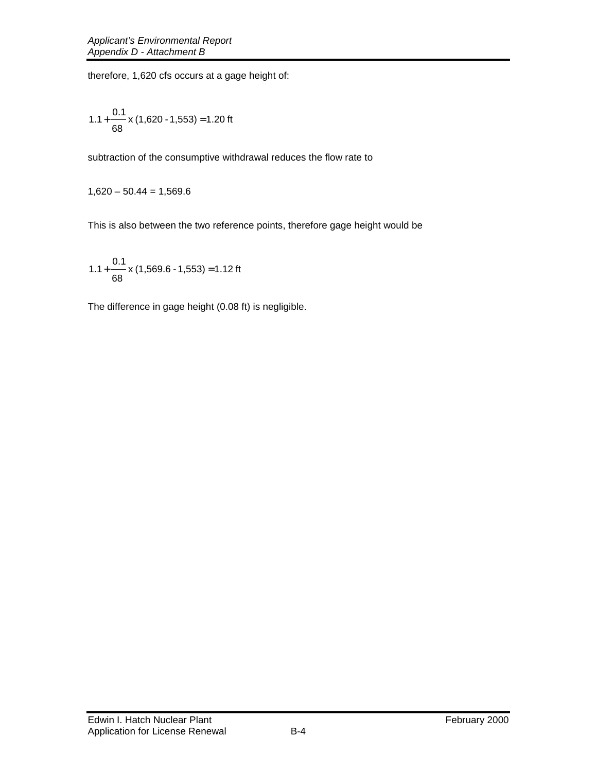therefore, 1,620 cfs occurs at a gage height of:

$$
1.1 + \frac{0.1}{68} \times (1,620 - 1,553) = 1.20
$$
 ft

subtraction of the consumptive withdrawal reduces the flow rate to

 $1,620 - 50.44 = 1,569.6$ 

This is also between the two reference points, therefore gage height would be

$$
1.1 + \frac{0.1}{68} \times (1,569.6 - 1,553) = 1.12 \text{ ft}
$$

The difference in gage height (0.08 ft) is negligible.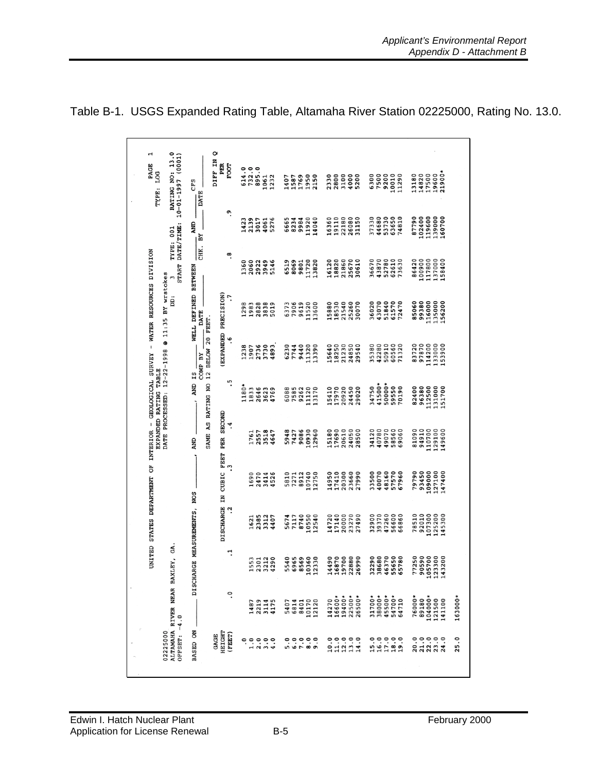| RATING NO: 13.0<br>H<br>START DATE/TIME: 10-01-1997 (0001)<br>PAGE<br>TYPE: LOG | DIFF IN Q<br>PER<br><b>FOOT</b><br>CFS<br>DATE             | 614.0<br>895.0<br>732.0<br>1232<br>1061 | 1769<br>1950<br>2150<br>1407<br>1587                                  | 2330<br>2800<br>3100<br>4000<br>5200            | 9200<br>10010<br>11290<br>6300<br>7500         | 21900*<br>17500<br>19600<br>13180<br>14820                                 |
|---------------------------------------------------------------------------------|------------------------------------------------------------|-----------------------------------------|-----------------------------------------------------------------------|-------------------------------------------------|------------------------------------------------|----------------------------------------------------------------------------|
| TYPE: 001                                                                       | ი.<br>.<br>AND                                             | 2139<br>3017<br>5276<br>4061<br>1423    | 6665<br>8234<br>11920<br>14040<br>9984                                | 22180<br>16360<br>19110<br>26080<br>31150       | 37330<br>44680<br>53730<br>63650<br>74810      | 87790<br>119600<br>102400<br>139000<br>160700                              |
|                                                                                 | CHK. BY<br>∞.                                              | 1360<br>2060<br>3949<br>5146<br>2922    | 6519<br>11720<br>8069<br>13820<br>9801                                | 21860<br>16120<br>18820<br>25670<br>30610       | 36670<br>43870<br>62610<br>73630<br>52780      | 86420<br>100900<br>117800<br>137000<br>158400                              |
| iga                                                                             | WELL DEFINED BETWEEN<br>(EXPANDED PRECISION)<br>-7<br>DATE | 1298<br>1983<br>2828<br>3838<br>5019    | 7906<br>9619<br>11520<br>13600<br>6373                                | 25260<br>15880<br>18530<br>21540<br>30070       | 51840<br>36020<br>43070<br>61570<br>72470      | 99380<br>116000<br>135000<br>85060<br>156200                               |
|                                                                                 | 12 BELOW 20 FEET.<br>؋<br>COMP BY                          | 4893<br>1238<br>2736<br>3730<br>1907    | 6230<br>7744<br>9440<br>11320<br>13390                                | 15640<br>18250<br>21230<br>24850<br>29540       | 35380<br>50910<br>42280<br>60560<br>71320      | 83720<br>97870<br>114200<br>133000<br>153900                               |
|                                                                                 | AND IS<br><u>ي</u><br>SAME AS RATING NO                    | 1180*<br>1833<br>2646<br>3623<br>4769   | 9262<br>6088<br>7585<br>11120<br>13170                                | 5410<br>20920<br>24450<br>29020<br>17970        | 41500*<br>50000*<br>34750<br>59550<br>70190    | 82400<br>96380<br>112500<br>131000<br>151700                               |
| DATE PROCESSED: 12-22-1998 @ 11:35 BY wrstokes                                  | ÷.<br>AND                                                  | 2557<br>3518<br>1761<br>4647            | 9086<br>5948<br>10930<br>12960<br>7427                                | 17690<br>20610<br>24050<br>15180<br>28500       | 34120<br>40780<br>49070<br>58560<br>69060      | 81090<br>94910<br>110700<br>129100<br>149600                               |
|                                                                                 | DISCHARGE IN CUBIC FEET PER SECOND<br>                     | 1690<br>2470<br>3414<br>4526            | 5810<br>8912<br>10740<br>12750<br>7271                                | 23660<br>14950<br>17410<br>20300<br>27990       | 33500<br>40070<br>48160<br>67960<br>57570      | 79790<br>93450<br>000601<br>.27100<br>147400                               |
|                                                                                 | DISCHARGE MEASUREMENTS, NOS<br><u>ي</u> .                  | 2385<br>3312<br>4407<br>1621            | 8740<br>.0550<br>7117<br>12540<br>5674                                | 17140<br>23270<br>14720<br>20000<br>27490       | 32900<br>39370<br>47260<br>56600<br>66860      | 78510<br>92010<br>107300<br>125200<br>145300                               |
| ALTAMAHA RIVER NEAR BAXLEY, GA.                                                 | ٦.                                                         | 3212<br>4290<br>1553<br>2301            | 5540<br>6965<br>8569<br>.0360<br>12330                                | 16870<br>19700<br>22880<br>14490<br>26990       | 32290<br>38680<br>46370<br>55650<br>65780      | 77250<br>90590<br>05700<br>23300<br>43200<br>$\overline{a}$ $\overline{a}$ |
|                                                                                 | °.                                                         | 2219<br>4175<br>3114<br>1487            | 10170<br>12120<br>5407<br>6814<br>8401                                | 16600*<br>19400*<br>$22500*$<br>26500*<br>14270 | 45500*<br>38000*<br>54700*<br>31700*<br>64710  | 104000*<br>76000*<br>89180<br>121500<br>141100                             |
| OFFSET: $-4.0$<br>02225000                                                      | <b>BASED ON</b><br>HEIGHT<br>(FEET)<br>GAGE                | $\frac{0000}{10000}$                    | $\begin{array}{c} 0.0 \\ 0.0 \end{array}$<br>7.0<br>$\frac{0}{8}$ . 8 | 0.0000<br>21211                                 | $18.0$<br>$19.0$<br>$15.0$<br>$15.0$<br>$17.0$ | $20.0$<br>$21.0$<br>$22.0$<br>$23.0$<br>$24.0$                             |

Table B-1. USGS Expanded Rating Table, Altamaha River Station 02225000, Rating No. 13.0.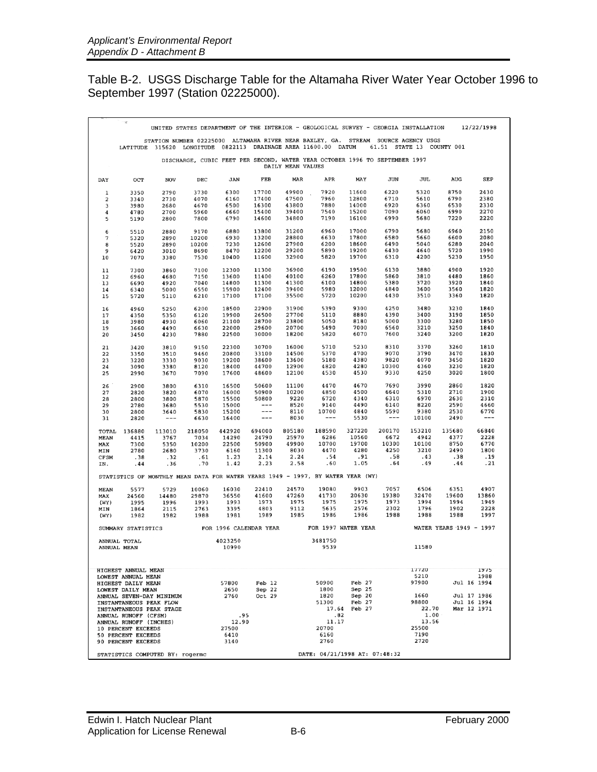|  | Table B-2. USGS Discharge Table for the Altamaha River Water Year October 1996 to |  |  |  |  |
|--|-----------------------------------------------------------------------------------|--|--|--|--|
|  | September 1997 (Station 02225000).                                                |  |  |  |  |

|             | ×                        |                                 |                |                   |                        |                   | UNITED STATES DEPARTMENT OF THE INTERIOR - GEOLOGICAL SURVEY - GEORGIA INSTALLATION                               |                   |              |                     |                         | 12/22/1998                 |
|-------------|--------------------------|---------------------------------|----------------|-------------------|------------------------|-------------------|-------------------------------------------------------------------------------------------------------------------|-------------------|--------------|---------------------|-------------------------|----------------------------|
|             | LATITUDE 315620          |                                 |                | LONGITUDE 0822113 |                        |                   | STATION NUMBER 02225000 ALTAMAHA RIVER NEAR BAXLEY, GA. STREAM SOURCE AGENCY USGS<br>DRAINAGE AREA 11600.00 DATUM |                   | 61.51        | STATE 13 COUNTY 001 |                         |                            |
|             |                          |                                 |                |                   |                        | DAILY MEAN VALUES | DISCHARGE, CUBIC FEET PER SECOND, WATER YEAR OCTOBER 1996 TO SEPTEMBER 1997                                       |                   |              |                     |                         |                            |
| DAY         | OCT                      | <b>NOV</b>                      | DEC            | JAN               | FEB                    | MAR               | APR                                                                                                               | MAY               | JUN          | JUL                 | AUG                     | SEP                        |
|             | 3350                     |                                 | 3730           | 6300              | 17700                  | 49900             | 7920                                                                                                              | 11600             | 6220         | 5320                | 8750                    | 2430                       |
| 1<br>2      | 3340                     | 2790<br>2730                    | 4070           | 6160              | 17400                  | 47500             | 7960                                                                                                              | 12800             | 6710         | 5610                | 6790                    | 2380                       |
| 3           | 3980                     | 2680                            | 4670           | 6500              | 16300                  | 43800             | 7880                                                                                                              | 14000             | 6920         | 6360                | 6530                    | 2330                       |
| 4           | 4780                     | 2700                            | 5960           | 6660              | 15400                  | 39400             | 7540                                                                                                              | 15200             | 7090         | 6060                | 6990                    | 2270                       |
| 5           | 5190                     | 2800                            | 7800           | 6790              | 14600                  | 34800             | 7190                                                                                                              | 16100             | 6990         | 5680                | 7220                    | 2220                       |
| 6           | 5510                     | 2880                            | 9170           | 6880              | 13800                  | 31200             | 6960                                                                                                              | 17000             | 6790         | 5680                | 6960                    | 2150                       |
| 7<br>8      | 5320<br>5520             | 2890<br>2890                    | 10200<br>10200 | 6930<br>7230      | 13200<br>12600         | 28800<br>27900    | 6630<br>6200                                                                                                      | 17800<br>18600    | 6580<br>6490 | 5660<br>5040        | 6600<br>6280            | 2080<br>2040               |
| 9           | 6420                     | 3010                            | 8690           | 8470              | 12200                  | 29200             | 5890                                                                                                              | 19200             | 6430         | 4640                | 5720                    | 1990                       |
| 10          | 7070                     | 3380                            | 7530           | 10400             | 11600                  | 32900             | 5820                                                                                                              | 19700             | 6310         | 4200                | 5230                    | 1950                       |
| 11          | 7300                     | 3860                            | 7100           | 12300             | 11300                  | 36900             | 6190                                                                                                              | 19500             | 6130         | 3880                | 4900                    | 1920                       |
| 12          | 6960                     | 4680                            | 7150           | 13600             | 11400                  | 40100             | 6260                                                                                                              | 17800             | 5860         | 3810                | 4480                    | 1860                       |
| 13          | 6690                     | 4920                            | 7040           | 14800             | 11300                  | 41300             | 6100                                                                                                              | 14800             | 5380         | 3720                | 3920                    | 1840                       |
| 14          | 6340                     | 5000                            | 6550           | 15900             | 12400                  | 39400             | 5980                                                                                                              | 12000             | 4840         | 3600                | 3560                    | 1820                       |
| 15          | 5720                     | 5110                            | 6210           | 17100             | 17100                  | 35500             | 5720                                                                                                              | 10200             | 4430         | 3510                | 3360                    | 1820                       |
| 16          | 4960                     | 5250                            | 6200           | 18500             | 22900                  | 31900             | 5390                                                                                                              | 9300              | 4250         | 3480                | 3230                    | 1840                       |
| 17          | 4350                     | 5350                            | 6120           | 19900             | 26500                  | 27700             | 5110<br>5050                                                                                                      | 8880              | 4390         | 3400                | 3190                    | 1850                       |
| 18<br>19    | 3980<br>3660             | 4930<br>4490                    | 6060<br>6630   | 21100<br>22000    | 28700<br>29600         | 23800<br>20700    | 5490                                                                                                              | 8180<br>7000      | 5000<br>6560 | 3300<br>3210        | 3280<br>3250            | 1850<br>1840               |
| 20          | 3450                     | 4230                            | 7880           | 22500             | 30000                  | 18200             | 5820                                                                                                              | 6070              | 7600         | 3240                | 3200                    | 1820                       |
| 21          | 3420                     | 3810                            | 9150           | 22300             | 30700                  | 16000             | 5710                                                                                                              | 5230              | 8310         | 3370                | 3260                    | 1810                       |
| 22          | 3350                     | 3510                            | 9460           | 20800             | 33100                  | 14500             | 5370                                                                                                              | 4700              | 9070         | 3790                | 3470                    | 1830                       |
| 23          | 3220                     | 3330                            | 9030           | 19200             | 38600                  | 13600             | 5180                                                                                                              | 4380              | 9820         | 4070                | 3450                    | 1820                       |
| 24          | 3090                     | 3380                            | 8120           | 18400             | 44700                  | 12900             | 4820                                                                                                              | 4280              | 10300        | 4360                | 3230                    | 1820                       |
| 25          | 2990                     | 3670                            | 7090           | 17600             | 48600                  | 12100             | 4530                                                                                                              | 4530              | 9330         | 4250                | 3020                    | 1800                       |
| 26          | 2900                     | 3800                            | 6310           | 16500             | 50600                  | 11100             | 4470                                                                                                              | 4670              | 7690         | 3990                | 2860                    | 1820                       |
| 27          | 2820                     | 3820                            | 6070           | 16000             | 50900                  | 10200             | 4850                                                                                                              | 4500              | 6640         | 5310                | 2710                    | 1900                       |
| 28          | 2800                     | 3800                            | 5870           | 15500             | 50800                  | 9220              | 6720                                                                                                              | 4340              | 6310         | 6970                | 2630                    | 2310                       |
| 29          | 2780                     | 3680                            | 5530           | 15000             | $---$<br>$---$         | 8520<br>8110      | 9140<br>10700                                                                                                     | 4490<br>4840      | 6140<br>5590 | 8220<br>9380        | 2590<br>2530            | 4660<br>6770               |
| 30<br>31    | 2800<br>2820             | 3640<br>$\qquad \qquad -$       | 5830<br>6630   | 15200<br>16400    | $\frac{1}{2}$          | 8030              | $---$                                                                                                             | 5530              | $---$        | 10100               | 2490                    | $---$                      |
| TOTAL       | 136880                   | 113010                          | 218050         | 442920            | 694000                 | 805180            | 188590                                                                                                            | 327220            | 200170       | 153210              | 135680                  | 66840                      |
| MEAN        | 4415                     | 3767                            | 7034           | 14290             | 24790                  | 25970             | 6286                                                                                                              | 10560             | 6672         | 4942                | 4377                    | 2228                       |
| MAX         | 7300                     | 5350                            | 10200          | 22500             | 50900                  | 49900             | 10700                                                                                                             | 19700             | 10300        | 10100               | 8750                    | 6770                       |
| MIN         | 2780                     | 2680                            | 3730           | 6160              | 11300                  | 8030              | 4470                                                                                                              | 4280              | 4250         | 3210                | 2490                    | 1800                       |
| <b>CFSM</b> | .38                      | .32                             | .61            | 1.23              | 2.14                   | 2.24              | .54                                                                                                               | .91               | .58          | .43                 | .38                     | .19                        |
| IN.         | .44                      | .36                             | .70            | 1.42              | 2.23                   | 2.58              | .60                                                                                                               | 1.05              | .64          | .49                 | .44                     | .21                        |
|             |                          |                                 |                |                   |                        |                   | STATISTICS OF MONTHLY MEAN DATA FOR WATER YEARS 1949 - 1997, BY WATER YEAR (WY)                                   |                   |              |                     |                         |                            |
| MEAN        | 5577                     | 5729                            | 10060          | 16030             | 22410                  | 24570             | 19080                                                                                                             | 9903              | 7057         | 6506                | 6351                    | 4907                       |
| MAX         | 24560                    | 14480                           | 29870          | 36550             | 41600                  | 47260             | 41730                                                                                                             | 20630             | 19380        | 32470               | 19600                   | 13860                      |
| (WY)        | 1995                     | 1996                            | 1993           | 1993              | 1973                   | 1975              | 1975                                                                                                              | 1975              | 1973         | 1994                | 1994                    | 1949                       |
| MIN         | 1864                     | 2115                            | 2763           | 3395<br>1981      | 4803<br>1989           | 9112<br>1985      | 5635<br>1986                                                                                                      | 2576<br>1986      | 2302<br>1988 | 1796<br>1988        | 1902<br>1988            | 2228<br>1997               |
| (WY)        | 1982                     | 1982                            | 1988           |                   |                        |                   |                                                                                                                   |                   |              |                     |                         |                            |
|             | SUMMARY STATISTICS       |                                 |                |                   | FOR 1996 CALENDAR YEAR |                   | FOR 1997 WATER YEAR                                                                                               |                   |              |                     | WATER YEARS 1949 - 1997 |                            |
| ANNUAL MEAN | ANNUAL TOTAL             |                                 |                | 4023250<br>10990  |                        |                   | 3481750<br>9539                                                                                                   |                   |              | 11580               |                         |                            |
|             | HIGHEST ANNUAL MEAN      |                                 |                |                   |                        |                   |                                                                                                                   |                   |              | 17720               |                         | 1975                       |
|             | LOWEST ANNUAL MEAN       |                                 |                |                   |                        |                   |                                                                                                                   |                   |              | 5210                |                         | 1988                       |
|             | HIGHEST DAILY MEAN       |                                 |                | 57800             | Feb 12                 |                   | 50900                                                                                                             | Feb 27            |              | 97900               |                         | Jul 16 1994                |
|             | <b>LOWEST DAILY MEAN</b> |                                 |                | 2650              | Sep 22                 |                   | 1800                                                                                                              | Sep <sub>25</sub> |              |                     |                         |                            |
|             |                          | ANNUAL SEVEN-DAY MINIMUM        |                | 2760              | Oct $29$               |                   | 1820                                                                                                              | Sep 20            |              | 1660                |                         | Jul 17 1986                |
|             |                          | INSTANTANEOUS PEAK FLOW         |                |                   |                        |                   | 51300<br>17.64                                                                                                    | Feb 27<br>Feb 27  |              | 98800<br>22.70      |                         | Jul 16 1994<br>Mar 12 1971 |
|             | ANNUAL RUNOFF (CFSM)     | INSTANTANEOUS PEAK STAGE        |                | .95               |                        |                   | .82                                                                                                               |                   |              | 1.00                |                         |                            |
|             | ANNUAL RUNOFF (INCHES)   |                                 |                | 12.90             |                        |                   | 11.17                                                                                                             |                   |              | 13.56               |                         |                            |
|             | 10 PERCENT EXCEEDS       |                                 |                | 27500             |                        |                   | 20700                                                                                                             |                   |              | 25500               |                         |                            |
|             | 50 PERCENT EXCEEDS       |                                 |                | 6410              |                        |                   | 6160                                                                                                              |                   |              | 7190                |                         |                            |
|             | 90 PERCENT EXCEEDS       |                                 |                | 3140              |                        |                   | 2760                                                                                                              |                   |              | 2720                |                         |                            |
|             |                          | STATISTICS COMPUTED BY: rogermc |                |                   |                        |                   | DATE: 04/21/1998 AT: 07:48:32                                                                                     |                   |              |                     |                         |                            |